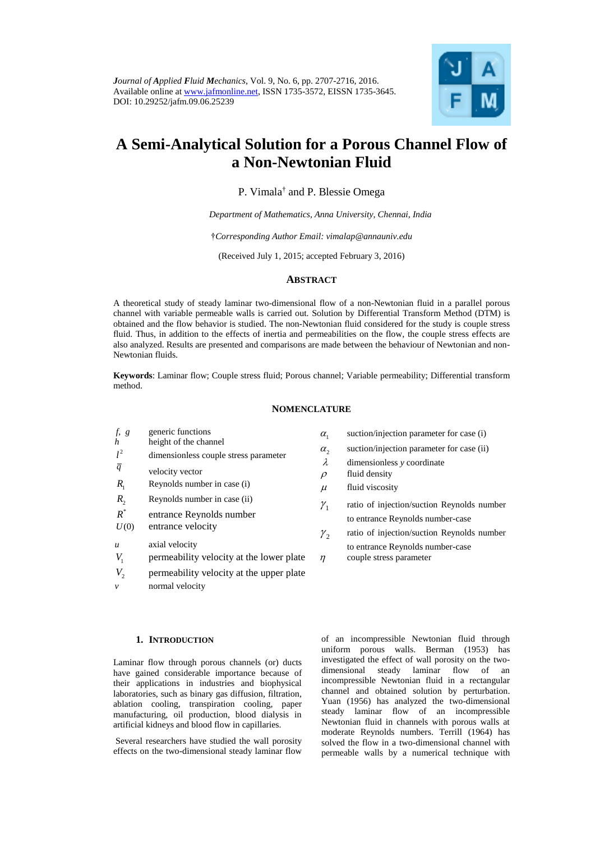

# **A Semi-Analytical Solution for a Porous Channel Flow of a Non-Newtonian Fluid**

P. Vimala<sup>†</sup> and P. Blessie Omega

*Department of Mathematics, Anna University, Chennai, India*

†*Corresponding Author Email: [vimalap@annauniv.edu](mailto:vimalap@annauniv.edu)*

(Received July 1, 2015; accepted February 3, 2016)

## **ABSTRACT**

A theoretical study of steady laminar two-dimensional flow of a non-Newtonian fluid in a parallel porous channel with variable permeable walls is carried out. Solution by Differential Transform Method (DTM) is obtained and the flow behavior is studied. The non-Newtonian fluid considered for the study is couple stress fluid. Thus, in addition to the effects of inertia and permeabilities on the flow, the couple stress effects are also analyzed. Results are presented and comparisons are made between the behaviour of Newtonian and non-Newtonian fluids.

**Keywords**: Laminar flow; Couple stress fluid; Porous channel; Variable permeability; Differential transform method.

#### **NOMENCLATURE**

| $f$ , $g$        | generic functions                        | $\alpha_{1}$    | suction/injection parameter for case (i)   |
|------------------|------------------------------------------|-----------------|--------------------------------------------|
| $\boldsymbol{h}$ | height of the channel                    |                 | suction/injection parameter for case (ii)  |
| $l^2$            | dimensionless couple stress parameter    | $\alpha$ ,      |                                            |
| $\overline{q}$   |                                          | λ               | dimensionless y coordinate                 |
|                  | velocity vector                          | $\rho$          | fluid density                              |
| $R_{1}$          | Reynolds number in case (i)              | $\mu$           | fluid viscosity                            |
| $R_{2}$          | Reynolds number in case (ii)             | $\gamma_{1}$    | ratio of injection/suction Reynolds number |
| $R^*$            | entrance Reynolds number                 |                 |                                            |
| U(0)             | entrance velocity                        |                 | to entrance Reynolds number-case           |
|                  |                                          | $\mathcal{Y}_2$ | ratio of injection/suction Reynolds number |
| $\boldsymbol{u}$ | axial velocity                           |                 | to entrance Reynolds number-case           |
| $V_{1}$          | permeability velocity at the lower plate | $\eta$          | couple stress parameter                    |
| $V_{2}$          | permeability velocity at the upper plate |                 |                                            |

*v* normal velocity

## **1. INTRODUCTION**

Laminar flow through porous channels (or) ducts have gained considerable importance because of their applications in industries and biophysical laboratories, such as binary gas diffusion, filtration, ablation cooling, transpiration cooling, paper manufacturing, oil production, blood dialysis in artificial kidneys and blood flow in capillaries.

Several researchers have studied the wall porosity effects on the two-dimensional steady laminar flow

of an incompressible Newtonian fluid through uniform porous walls. Berman (1953) has investigated the effect of wall porosity on the twodimensional steady laminar flow of an incompressible Newtonian fluid in a rectangular channel and obtained solution by perturbation. Yuan (1956) has analyzed the two-dimensional steady laminar flow of an incompressible Newtonian fluid in channels with porous walls at moderate Reynolds numbers. Terrill (1964) has solved the flow in a two-dimensional channel with permeable walls by a numerical technique with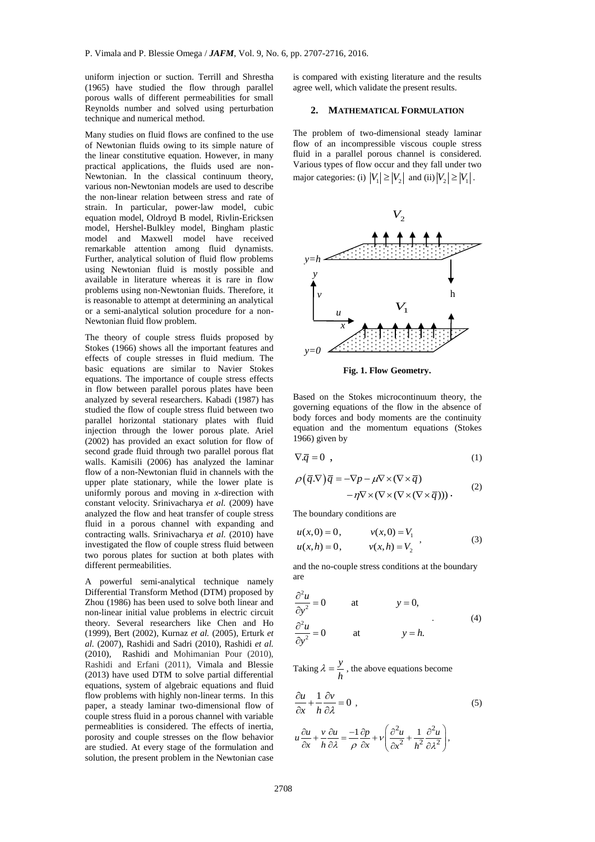uniform injection or suction. Terrill and Shrestha (1965) have studied the flow through parallel porous walls of different permeabilities for small Reynolds number and solved using perturbation technique and numerical method.

Many studies on fluid flows are confined to the use of Newtonian fluids owing to its simple nature of the linear constitutive equation. However, in many practical applications, the fluids used are non-Newtonian. In the classical continuum theory, various non-Newtonian models are used to describe the non-linear relation between stress and rate of strain. In particular, power-law model, cubic equation model, Oldroyd B model, Rivlin-Ericksen model, Hershel-Bulkley model, Bingham plastic model and Maxwell model have received remarkable attention among fluid dynamists. Further, analytical solution of fluid flow problems using Newtonian fluid is mostly possible and available in literature whereas it is rare in flow problems using non-Newtonian fluids. Therefore, it is reasonable to attempt at determining an analytical or a semi-analytical solution procedure for a non-Newtonian fluid flow problem.

The theory of couple stress fluids proposed by Stokes (1966) shows all the important features and effects of couple stresses in fluid medium. The basic equations are similar to Navier Stokes equations. The importance of couple stress effects in flow between parallel porous plates have been analyzed by several researchers. Kabadi (1987) has studied the flow of couple stress fluid between two parallel horizontal stationary plates with fluid injection through the lower porous plate. Ariel (2002) has provided an exact solution for flow of second grade fluid through two parallel porous flat walls. Kamisili (2006) has analyzed the laminar flow of a non-Newtonian fluid in channels with the upper plate stationary, while the lower plate is uniformly porous and moving in *x*-direction with constant velocity. Srinivacharya *et al.* (2009) have analyzed the flow and heat transfer of couple stress fluid in a porous channel with expanding and contracting walls. Srinivacharya *et al.* (2010) have investigated the flow of couple stress fluid between two porous plates for suction at both plates with different permeabilities.

A powerful semi-analytical technique namely Differential Transform Method (DTM) proposed by Zhou (1986) has been used to solve both linear and non-linear initial value problems in electric circuit theory. Several researchers like Chen and Ho (1999), Bert (2002), Kurnaz *et al.* (2005), Erturk *et al.* (2007), Rashidi and Sadri (2010), Rashidi *et al.* (2010), Rashidi and Mohimanian Pour (2010), Rashidi and Erfani (2011), Vimala and Blessie (2013) have used DTM to solve partial differential equations, system of algebraic equations and fluid flow problems with highly non-linear terms. In this paper, a steady laminar two-dimensional flow of couple stress fluid in a porous channel with variable permeablities is considered. The effects of inertia, porosity and couple stresses on the flow behavior are studied. At every stage of the formulation and solution, the present problem in the Newtonian case

is compared with existing literature and the results agree well, which validate the present results.

## **2. MATHEMATICAL FORMULATION**

The problem of two-dimensional steady laminar flow of an incompressible viscous couple stress fluid in a parallel porous channel is considered. Various types of flow occur and they fall under two major categories: (i)  $|V_1| \ge |V_2|$  and (ii)  $|V_2| \ge |V_1|$ .



**Fig. 1. Flow Geometry.**

Based on the Stokes microcontinuum theory, the governing equations of the flow in the absence of body forces and body moments are the continuity equation and the momentum equations (Stokes 1966) given by

$$
\nabla \cdot \overline{q} = 0 \tag{1}
$$

$$
\rho(\bar{q}.\nabla)\bar{q} = -\nabla p - \mu \nabla \times (\nabla \times \bar{q})
$$
  
-  $\eta \nabla \times (\nabla \times (\nabla \times (\nabla \times \bar{q})))$ . (2)

The boundary conditions are

$$
u(x, 0) = 0, \t v(x, 0) = V_1 u(x, h) = 0, \t v(x, h) = V_2
$$
 (3)

and the no-couple stress conditions at the boundary are

$$
\frac{\partial^2 u}{\partial y^2} = 0 \qquad \text{at} \qquad y = 0,
$$
  

$$
\frac{\partial^2 u}{\partial y^2} = 0 \qquad \text{at} \qquad y = h.
$$
 (4)

Taking  $\lambda = \frac{y}{y}$ *h*  $\lambda = \frac{y}{x}$ , the above equations become

$$
\frac{\partial u}{\partial x} + \frac{1}{h} \frac{\partial v}{\partial \lambda} = 0 \tag{5}
$$

$$
u\frac{\partial u}{\partial x} + \frac{v}{h}\frac{\partial u}{\partial \lambda} = \frac{-1}{\rho}\frac{\partial p}{\partial x} + v\left(\frac{\partial^2 u}{\partial x^2} + \frac{1}{h^2}\frac{\partial^2 u}{\partial \lambda^2}\right),
$$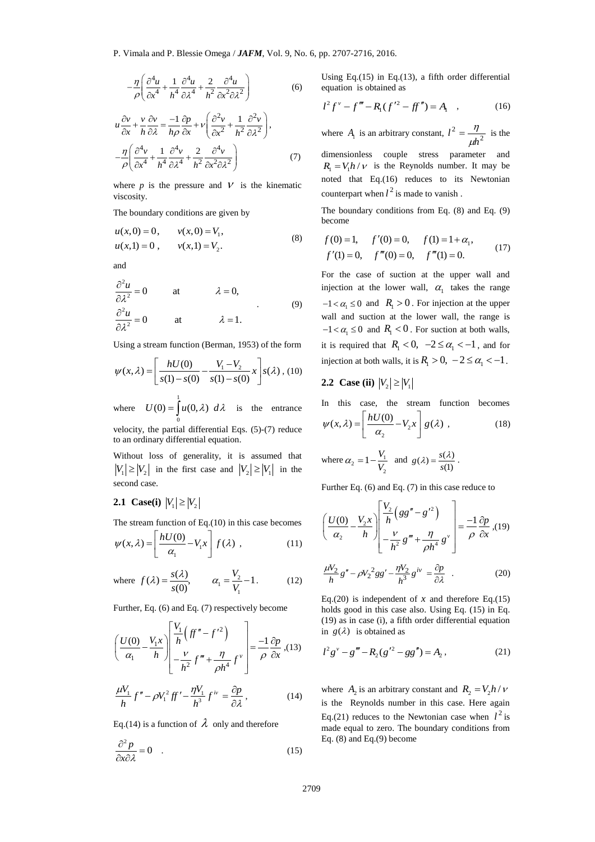$$
-\frac{\eta}{\rho} \left( \frac{\partial^4 u}{\partial x^4} + \frac{1}{h^4} \frac{\partial^4 u}{\partial \lambda^4} + \frac{2}{h^2} \frac{\partial^4 u}{\partial x^2 \partial \lambda^2} \right) \tag{6}
$$

$$
u\frac{\partial v}{\partial x} + \frac{v}{h}\frac{\partial v}{\partial \lambda} = \frac{-1}{h\rho}\frac{\partial p}{\partial x} + v\left(\frac{\partial^2 v}{\partial x^2} + \frac{1}{h^2}\frac{\partial^2 v}{\partial \lambda^2}\right),
$$
  

$$
-\frac{\eta}{\rho}\left(\frac{\partial^4 v}{\partial x^4} + \frac{1}{h^4}\frac{\partial^4 v}{\partial \lambda^4} + \frac{2}{h^2}\frac{\partial^4 v}{\partial x^2 \partial \lambda^2}\right)
$$
(7)

where  $p$  is the pressure and  $V$  is the kinematic viscosity.

The boundary conditions are given by

$$
u(x,0) = 0, \t v(x,0) = V1,u(x,1) = 0, \t v(x,1) = V2.
$$
\t(8)

and

$$
\frac{\partial^2 u}{\partial \lambda^2} = 0 \quad \text{at} \quad \lambda = 0,
$$
  

$$
\frac{\partial^2 u}{\partial \lambda^2} = 0 \quad \text{at} \quad \lambda = 1.
$$
 (9)

Using a stream function (Berman, 1953) of the form

$$
\psi(x,\lambda) = \left[\frac{hU(0)}{s(1) - s(0)} - \frac{V_1 - V_2}{s(1) - s(0)}x\right]s(\lambda), (10)
$$

where  $U(0) = \int u(0, \lambda) d\lambda$  is the entrance 0

velocity, the partial differential Eqs. (5)-(7) reduce to an ordinary differential equation.

Without loss of generality, it is assumed that  $|V_1| \ge |V_2|$  in the first case and  $|V_2| \ge |V_1|$  in the second case.

# **2.1 Case(i)**  $|V_1| \ge |V_2|$

The stream function of Eq.(10) in this case becomes  
\n
$$
\psi(x,\lambda) = \left[ \frac{hU(0)}{\alpha_1} - V_1 x \right] f(\lambda) , \qquad (11)
$$

where 
$$
f(\lambda) = \frac{s(\lambda)}{s(0)}, \qquad \alpha_1 = \frac{V_2}{V_1} - 1.
$$
 (12)

Further, Eq. (6) and Eq. (7) respectively become

$$
\left(\frac{U(0)}{\alpha_1} - \frac{V_1 x}{h}\right) \left[\frac{V_1}{h} \left(\mathcal{F}'' - f'^2\right) - \frac{V_1 v}{h^2} \mathcal{F}''' + \frac{\eta}{\rho h^4} f^{\nu}\right] = \frac{-1}{\rho} \frac{\partial p}{\partial x}, (13)
$$

$$
\frac{\mu V_1}{h} f'' - \rho V_1^2 f' - \frac{\eta V_1}{h^3} f^{iv} = \frac{\partial p}{\partial \lambda}, \qquad (14)
$$

Eq.(14) is a function of  $\lambda$  only and therefore

$$
\frac{\partial^2 p}{\partial x \partial \lambda} = 0 \quad . \tag{15}
$$

Using Eq.(15) in Eq.(13), a fifth order differential equation is obtained as

$$
l^{2} f^{\nu} - f''' - R_{1} (f'^{2} - ff'') = A_{1} \quad , \tag{16}
$$

where  $A_1$  is an arbitrary constant,  $l^2 = \frac{V_1}{\mu h^2}$ 2 *h l*  $\mu$  $=\frac{\eta}{\eta}$  is the dimensionless couple stress parameter and  $R_1 = V_1 h / v$  is the Reynolds number. It may be noted that Eq.(16) reduces to its Newtonian counterpart when  $l^2$  is made to vanish.

The boundary conditions from Eq. (8) and Eq. (9) become

$$
f(0) = 1,
$$
  $f'(0) = 0,$   $f(1) = 1 + \alpha_1,$   
\n $f'(1) = 0,$   $f'''(0) = 0,$   $f'''(1) = 0.$  (17)

For the case of suction at the upper wall and injection at the lower wall,  $\alpha_1$  takes the range  $-1 < \alpha_1 \leq 0$  and  $R_1 > 0$ . For injection at the upper wall and suction at the lower wall, the range is  $-1 < \alpha_1 \leq 0$  and  $R_1 < 0$ . For suction at both walls, it is required that  $R_1 < 0$ ,  $-2 \le \alpha_1 < -1$ , and for injection at both walls, it is  $R_1 > 0$ ,  $-2 \le \alpha_1 < -1$ .

## **2.2 Case (ii)**  $|V_2| \ge |V_1|$

In this case, the stream function becomes  $\frac{1}{2}$   $\frac{1}{2}$  $\psi(x, \lambda) = \left| \frac{hU(0)}{\alpha_0} - V_2 x \right| g(\lambda)$  $=\left[\frac{hU(0)}{\alpha_2} - V_2x\right]g($  $(18)$ 

where 
$$
\alpha_2 = 1 - \frac{V_1}{V_2}
$$
 and  $g(\lambda) = \frac{s(\lambda)}{s(1)}$ .

Further Eq. (6) and Eq. (7) in this case reduce to

$$
\left(\frac{U(0)}{\alpha_2} - \frac{V_2 x}{h}\right) \left[\frac{V_2}{h} \left(gg'' - g'^2\right) - \frac{V_2}{h^2} g''' + \frac{\eta}{\rho h^4} g^{\nu}\right] = \frac{-1}{\rho} \frac{\partial p}{\partial x}, (19)
$$

$$
\frac{\mu V_2}{h}g'' - \rho V_2^2 gg' - \frac{\eta V_2}{h^3}g^{iv} = \frac{\partial p}{\partial \lambda} \quad . \tag{20}
$$

Eq.(20) is independent of  $x$  and therefore Eq.(15) holds good in this case also. Using Eq. (15) in Eq. (19) as in case (i), a fifth order differential equation in  $g(\lambda)$  is obtained as

$$
l^{2}g'' - g''' - R_{2}(g'^{2} - gg'') = A_{2},
$$
 (21)

where  $A_2$  is an arbitrary constant and  $R_2 = V_2 h / v$ is the Reynolds number in this case. Here again Eq.(21) reduces to the Newtonian case when  $l^2$  is made equal to zero. The boundary conditions from Eq. (8) and Eq.(9) become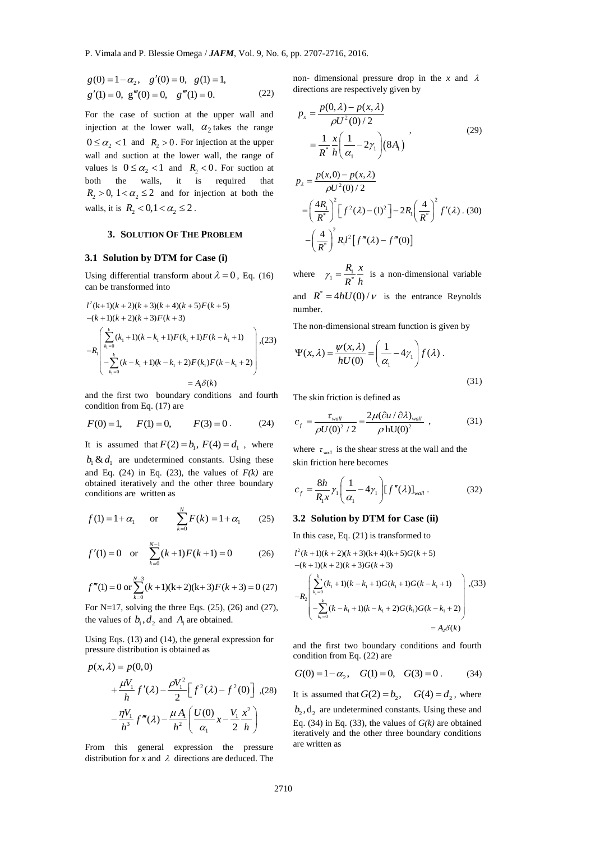$$
g(0) = 1 - \alpha_2, \quad g'(0) = 0, \quad g(1) = 1,
$$
  
 
$$
g'(1) = 0, \quad g'''(0) = 0, \quad g'''(1) = 0.
$$
 (22)

2,  $g(x) = 0$ ,  $g(x) = 1$ ,<br>  $m(0) = 0$ ,  $g''(1) = 0$ . (22)<br>  $m''(0) = 0$ ,  $g'''(1) = 0$ . (22)<br>  $g''(1) = 0$ . (22)<br>  $g''(1) = 0$ . (22)<br>  $g(x) = 0$  such that the upper wall and<br>  $R_2 > 0$ . For injection at the upper<br>  $x \in \mathbb{Z}_2 \leq 2$ .<br>  $x \in \$ For the case of suction at the upper wall and injection at the lower wall,  $\alpha_2$  takes the range  $0 \le \alpha_2 < 1$  and  $R_2 > 0$ . For injection at the upper wall and suction at the lower wall, the range of values is  $0 \le \alpha_2 < 1$  and  $R_2 < 0$ . For suction at both the walls, it is required that  $R_2 > 0$ ,  $1 < \alpha_2 \leq 2$  and for injection at both the walls, it is  $R_2 < 0, 1 < \alpha_2 \leq 2$ .

## **3. SOLUTION OF THE PROBLEM**

### **3.1 Solution by DTM for Case (i)**

Using differential transform about  $\lambda = 0$ , Eq. (16) can be transformed into

$$
l^{2}(k+1)(k+2)(k+3)(k+4)(k+5)F(k+5)
$$
  
\n
$$
-(k+1)(k+2)(k+3)F(k+3)
$$
  
\n
$$
-R_{1}\begin{pmatrix} \sum_{k_{i}=0}^{k} (k_{i}+1)(k-k_{i}+1)F(k_{i}+1)F(k-k_{i}+1) \\ -\sum_{k_{i}=0}^{k} (k-k_{i}+1)(k-k_{i}+2)F(k_{i})F(k-k_{i}+2) \\ = A_{i}\delta(k)
$$

and the first two boundary conditions and fourth condition from Eq. (17) are

$$
F(0) = 1,
$$
  $F(1) = 0,$   $F(3) = 0.$  (24)

It is assumed that  $F(2) = b_1$ ,  $F(4) = d_1$ , where  $b_1 \& d_1$  are undetermined constants. Using these and Eq.  $(24)$  in Eq.  $(23)$ , the values of  $F(k)$  are obtained iteratively and the other three boundary conditions are written as

$$
f(1) = 1 + \alpha_1
$$
 or  $\sum_{k=0}^{N} F(k) = 1 + \alpha_1$  (25)

$$
f'(1) = 0
$$
 or  $\sum_{k=0}^{N-1} (k+1)F(k+1) = 0$  (26)

$$
f'''(1) = 0
$$
 or 
$$
\sum_{k=0}^{N-3} (k+1)(k+2)(k+3)F(k+3) = 0
$$
 (27)

For N=17, solving the three Eqs.  $(25)$ ,  $(26)$  and  $(27)$ , the values of  $b_1, d_2$  and  $A_1$  are obtained.

Using Eqs. (13) and (14), the general expression for pressure distribution is obtained as<br> $p(x, \lambda) = p(0, 0)$ 

$$
p(x, \lambda) = p(0, 0)
$$
  
+  $\frac{\mu V_1}{h} f'(\lambda) - \frac{\rho V_1^2}{2} \Big[ f^2(\lambda) - f^2(0) \Big]$ , (28)  
-  $\frac{\eta V_1}{h^3} f'''(\lambda) - \frac{\mu A_1}{h^2} \Big( \frac{U(0)}{\alpha_1} x - \frac{V_1}{2} \frac{x^2}{h} \Big)$ 

From this general expression the pressure distribution for *x* and  $\lambda$  directions are deduced. The

non- dimensional pressure drop in the  $x$  and  $\lambda$ directions are respectively given by

$$
p_x = \frac{p(0, \lambda) - p(x, \lambda)}{\rho U^2(0)/2}
$$
  
=  $\frac{1}{R^*} \frac{x}{h} \left( \frac{1}{\alpha_1} - 2\gamma_1 \right) (8A_1)$  (29)

$$
p_{\lambda} = \frac{p(x,0) - p(x,\lambda)}{\rho U^2(0)/2}
$$
  
=  $\left(\frac{4R_1}{R^*}\right)^2 \left[f^2(\lambda) - (1)^2\right] - 2R_1 \left(\frac{4}{R^*}\right)^2 f'(\lambda)$ . (30)  
-  $\left(\frac{4}{R^*}\right)^2 R_1 l^2 \left[f'''(\lambda) - f'''(0)\right]$ 

where  $\gamma_1 = \frac{R_1}{R^*}$  $R_1$  *x*  $\gamma_1 = \frac{R_1}{R_1} \frac{x}{h}$  is a non-dimensional variable and  $R^* = 4hU(0)/v$  is the entrance Reynolds number.

The non-dimensional stream function is given by

$$
\Psi(x,\lambda) = \frac{\psi(x,\lambda)}{hU(0)} = \left(\frac{1}{\alpha_1} - 4\gamma_1\right) f(\lambda) .
$$
\n(31)

The skin friction is defined as

$$
c_f = \frac{\tau_{wall}}{\rho U(0)^2 / 2} = \frac{2\mu (\partial u / \partial \lambda)_{wall}}{\rho \, hU(0)^2} \,, \tag{31}
$$

where  $\tau_{\text{wall}}$  is the shear stress at the wall and the skin friction here becomes

$$
c_f = \frac{8h}{R_1 x} \gamma_1 \left(\frac{1}{\alpha_1} - 4\gamma_1\right) \left[f''(\lambda)\right]_{wall} .
$$
 (32)

## **3.2 Solution by DTM for Case (ii)**

In this case, Eq. (21) is transformed to  
\n
$$
l^{2}(k+1)(k+2)(k+3)(k+4)(k+5)G(k+5)
$$
\n
$$
-(k+1)(k+2)(k+3)G(k+3)
$$
\n
$$
-R_{2}\begin{bmatrix} \sum_{k_{1}=0}^{k} (k_{1}+1)(k-k_{1}+1)G(k_{1}+1)G(k-k_{1}+1) \\ -\sum_{k_{1}=0}^{k} (k-k_{1}+1)(k-k_{1}+2)G(k_{1})G(k-k_{1}+2) \\ = A_{2}\delta(k)
$$

and the first two boundary conditions and fourth condition from Eq. (22) are

$$
G(0) = 1 - \alpha_2, \quad G(1) = 0, \quad G(3) = 0.
$$
 (34)

It is assumed that  $G(2) = b_2$ ,  $G(4) = d_2$ , where  $b_2$ ,  $d_2$  are undetermined constants. Using these and Eq. (34) in Eq. (33), the values of  $G(k)$  are obtained iteratively and the other three boundary conditions are written as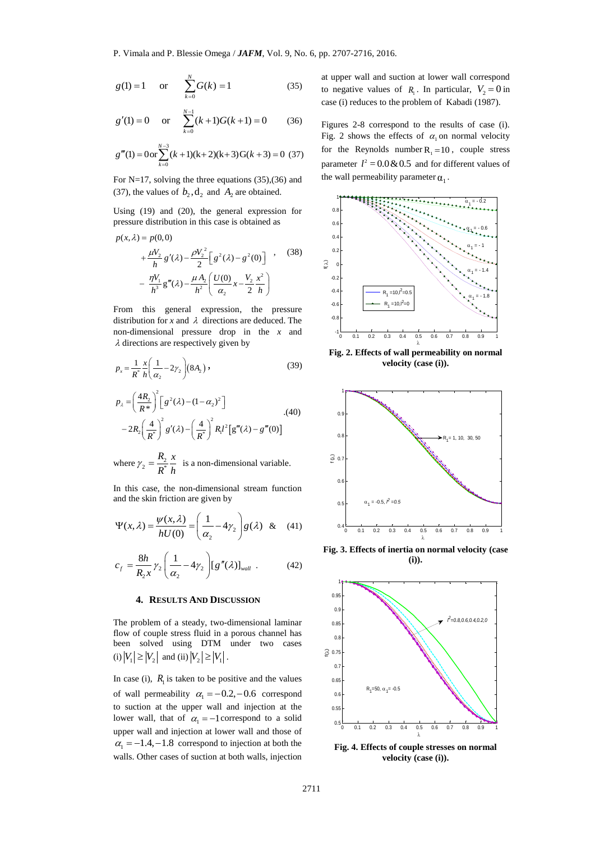$$
g(1) = 1
$$
 or  $\sum_{k=0}^{N} G(k) = 1$  (35)

$$
g'(1) = 0
$$
 or 
$$
\sum_{k=0}^{N-1} (k+1)G(k+1) = 0
$$
 (36)

$$
g'''(1) = 0 \text{ or } \sum_{k=0}^{N-3} (k+1)(k+2)(k+3) G(k+3) = 0 \tag{37}
$$

For N=17, solving the three equations (35),(36) and (37), the values of  $b_2$ ,  $d_2$  and  $A_2$  are obtained.

Using (19) and (20), the general expression for pressure distribution in this case is obtained as  $p(x, \lambda) = p(0, 0)$ 

 $\sim$ 

$$
p(x, \lambda) = p(0, 0)
$$
  
+  $\frac{\mu V_2}{h} g'(\lambda) - \frac{\rho V_2^2}{2} \Big[ g^2(\lambda) - g^2(0) \Big]$ , (38)  
-  $\frac{\eta V_1}{h^3} g'''(\lambda) - \frac{\mu A_2}{h^2} \Big( \frac{U(0)}{\alpha_2} x - \frac{V_2}{2} \frac{x^2}{h} \Big)$ 

From this general expression, the pressure distribution for *x* and  $\lambda$  directions are deduced. The non-dimensional pressure drop in the *x* and  $\lambda$  directions are respectively given by

$$
p_x = \frac{1}{R^*} \frac{x}{h} \left( \frac{1}{\alpha_2} - 2\gamma_2 \right) (8A_2) ,
$$
  
\n
$$
p_x = \left( \frac{4R_2}{h^2} \right)^2 \left[ \left( \frac{\sigma^2}{\alpha_2} - (1 - \alpha_2)^2 \right) \right]
$$
 (39)

$$
p_{\lambda} = \left(\frac{4R_{2}}{R^{*}}\right)^{2} \left[g^{2}(\lambda) - (1 - \alpha_{2})^{2}\right]
$$
  
- 2R\_{2} \left(\frac{4}{R^{\*}}\right)^{2} g'(\lambda) - \left(\frac{4}{R^{\*}}\right)^{2} R\_{1} l^{2} \left[g'''(\lambda) - g'''(0)\right] (40)

where  $\gamma_2 = \frac{R_2}{R^*}$  $R, x$  $\gamma_2 = \frac{R_2}{R_1} \frac{x}{h}$  is a non-dimensional variable.

In this case, the non-dimensional stream function and the skin friction are given by

$$
\Psi(x,\lambda) = \frac{\psi(x,\lambda)}{hU(0)} = \left(\frac{1}{\alpha_2} - 4\gamma_2\right) g(\lambda) \& (41)
$$

$$
c_f = \frac{8h}{R_2 x} \gamma_2 \left(\frac{1}{\alpha_2} - 4\gamma_2\right) \left[g''(\lambda)\right]_{wall} . \tag{42}
$$

## **4. RESULTS AND DISCUSSION**

The problem of a steady, two-dimensional laminar flow of couple stress fluid in a porous channel has been solved using DTM under two cases (i)  $|V_1| \ge |V_2|$  and (ii)  $|V_2| \ge |V_1|$ .

In case (i),  $R_1$  is taken to be positive and the values of wall permeability  $\alpha_1 = -0.2, -0.6$  correspond to suction at the upper wall and injection at the lower wall, that of  $\alpha_1 = -1$  correspond to a solid upper wall and injection at lower wall and those of  $\alpha_1 = -1.4, -1.8$  correspond to injection at both the walls. Other cases of suction at both walls, injection

at upper wall and suction at lower wall correspond to negative values of  $R_1$ . In particular,  $V_2 = 0$  in case (i) reduces to the problem of Kabadi (1987).

Figures 2-8 correspond to the results of case (i). Fig. 2 shows the effects of  $\alpha_1$  on normal velocity for the Reynolds number  $R_1 = 10$ , couple stress parameter  $l^2 = 0.0 \& 0.5$  and for different values of the wall permeability parameter  $\alpha_1$ .



**Fig. 2. Effects of wall permeability on normal velocity (case (i)).** 



**Fig. 3. Effects of inertia on normal velocity (case (i)).**



**Fig. 4. Effects of couple stresses on normal velocity (case (i)).**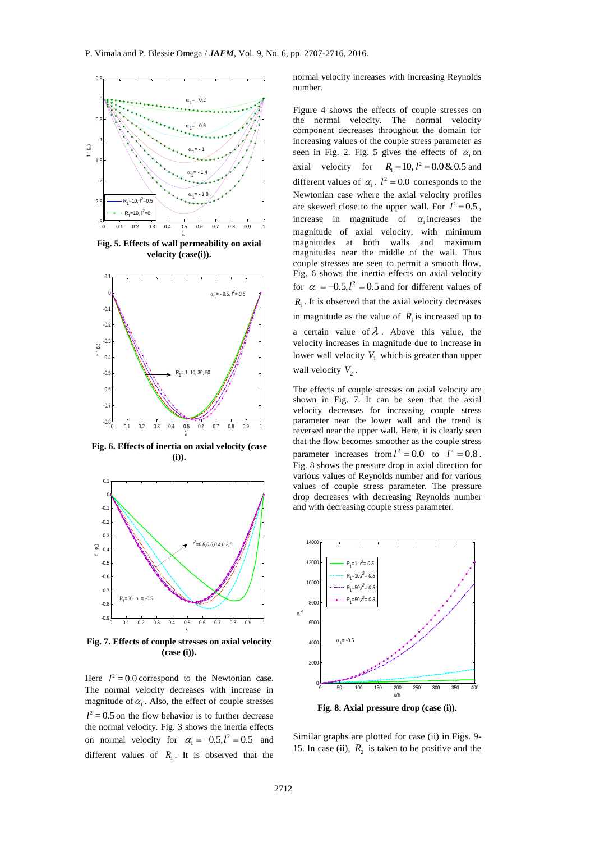

**Fig. 5. Effects of wall permeability on axial velocity (case(i)).** 



**Fig. 6. Effects of inertia on axial velocity (case (i)).**



**Fig. 7. Effects of couple stresses on axial velocity (case (i)).**

Here  $l^2 = 0.0$  correspond to the Newtonian case. The normal velocity decreases with increase in magnitude of  $\alpha_1$ . Also, the effect of couple stresses  $l^2$  = 0.5 on the flow behavior is to further decrease the normal velocity. Fig. 3 shows the inertia effects on normal velocity for  $\alpha_1 = -0.5, l^2 = 0.5$  and different values of  $R_1$ . It is observed that the

normal velocity increases with increasing Reynolds number.

Figure 4 shows the effects of couple stresses on the normal velocity. The normal velocity component decreases throughout the domain for increasing values of the couple stress parameter as seen in Fig. 2. Fig. 5 gives the effects of  $\alpha_1$  on axial velocity for  $R_1 = 10, l^2 = 0.0 \& 0.5$  and different values of  $\alpha_1$ .  $l^2 = 0.0$  corresponds to the Newtonian case where the axial velocity profiles are skewed close to the upper wall. For  $l^2 = 0.5$ , increase in magnitude of  $\alpha_1$  increases the magnitude of axial velocity, with minimum magnitudes at both walls and maximum magnitudes near the middle of the wall. Thus couple stresses are seen to permit a smooth flow. Fig. 6 shows the inertia effects on axial velocity for  $\alpha_1 = -0.5, l^2 = 0.5$  and for different values of  $R_1$ . It is observed that the axial velocity decreases in magnitude as the value of  $R_1$  is increased up to a certain value of  $\lambda$ . Above this value, the velocity increases in magnitude due to increase in lower wall velocity  $V_1$  which is greater than upper wall velocity  $V_2$ .

The effects of couple stresses on axial velocity are shown in Fig. 7. It can be seen that the axial velocity decreases for increasing couple stress parameter near the lower wall and the trend is reversed near the upper wall. Here, it is clearly seen that the flow becomes smoother as the couple stress parameter increases from  $l^2 = 0.0$  to  $l^2 = 0.8$ . Fig. 8 shows the pressure drop in axial direction for various values of Reynolds number and for various values of couple stress parameter. The pressure drop decreases with decreasing Reynolds number and with decreasing couple stress parameter.



**Fig. 8. Axial pressure drop (case (i)).** 

Similar graphs are plotted for case (ii) in Figs. 9- 15. In case (ii),  $R_2$  is taken to be positive and the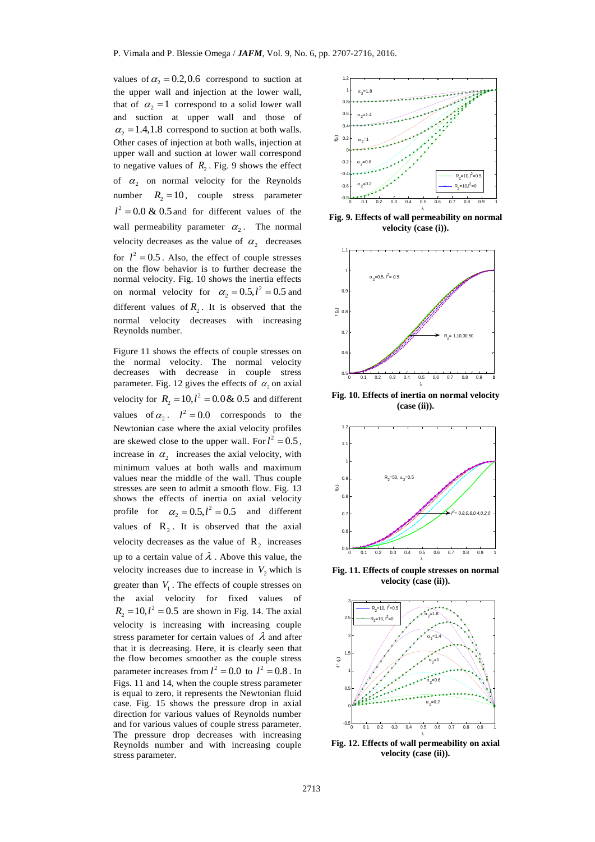values of  $\alpha_2 = 0.2, 0.6$  correspond to suction at the upper wall and injection at the lower wall, that of  $\alpha_2 = 1$  correspond to a solid lower wall and suction at upper wall and those of  $\alpha_2 = 1.4, 1.8$  correspond to suction at both walls. Other cases of injection at both walls, injection at upper wall and suction at lower wall correspond to negative values of  $R_2$ . Fig. 9 shows the effect of  $\alpha_2$  on normal velocity for the Reynolds number  $R_2 = 10$ , couple stress parameter  $l^2 = 0.0 \& 0.5$  and for different values of the wall permeability parameter  $\alpha_2$ . The normal velocity decreases as the value of  $\alpha_2$  decreases for  $l^2 = 0.5$ . Also, the effect of couple stresses on the flow behavior is to further decrease the normal velocity. Fig. 10 shows the inertia effects on normal velocity for  $\alpha_2 = 0.5, l^2 = 0.5$  and different values of  $R_2$ . It is observed that the normal velocity decreases with increasing Reynolds number.

Figure 11 shows the effects of couple stresses on the normal velocity. The normal velocity decreases with decrease in couple stress parameter. Fig. 12 gives the effects of  $\alpha_2$  on axial velocity for  $R_2 = 10, l^2 = 0.0 \& 0.5$  and different values of  $\alpha_2$ .  $l^2 = 0.0$  corresponds to the Newtonian case where the axial velocity profiles are skewed close to the upper wall. For  $l^2 = 0.5$ , increase in  $\alpha_2$  increases the axial velocity, with minimum values at both walls and maximum values near the middle of the wall. Thus couple stresses are seen to admit a smooth flow. Fig. 13 shows the effects of inertia on axial velocity profile for  $\alpha_2 = 0.5, l^2 = 0.5$  and different values of  $R_2$ . It is observed that the axial velocity decreases as the value of  $\mathbb{R}_2$  increases up to a certain value of  $\lambda$ . Above this value, the velocity increases due to increase in  $V_2$  which is greater than  $V_1$ . The effects of couple stresses on the axial velocity for fixed values of  $R_2 = 10, l^2 = 0.5$  are shown in Fig. 14. The axial velocity is increasing with increasing couple stress parameter for certain values of  $\lambda$  and after that it is decreasing. Here, it is clearly seen that the flow becomes smoother as the couple stress parameter increases from  $l^2 = 0.0$  to  $l^2 = 0.8$ . In Figs. 11 and 14, when the couple stress parameter is equal to zero, it represents the Newtonian fluid case. Fig. 15 shows the pressure drop in axial direction for various values of Reynolds number and for various values of couple stress parameter. The pressure drop decreases with increasing Reynolds number and with increasing couple stress parameter.



**Fig. 9. Effects of wall permeability on normal velocity (case (i)).**



**Fig. 10. Effects of inertia on normal velocity (case (ii)).** 



**Fig. 11. Effects of couple stresses on normal velocity (case (ii)).**



**Fig. 12. Effects of wall permeability on axial velocity (case (ii)).**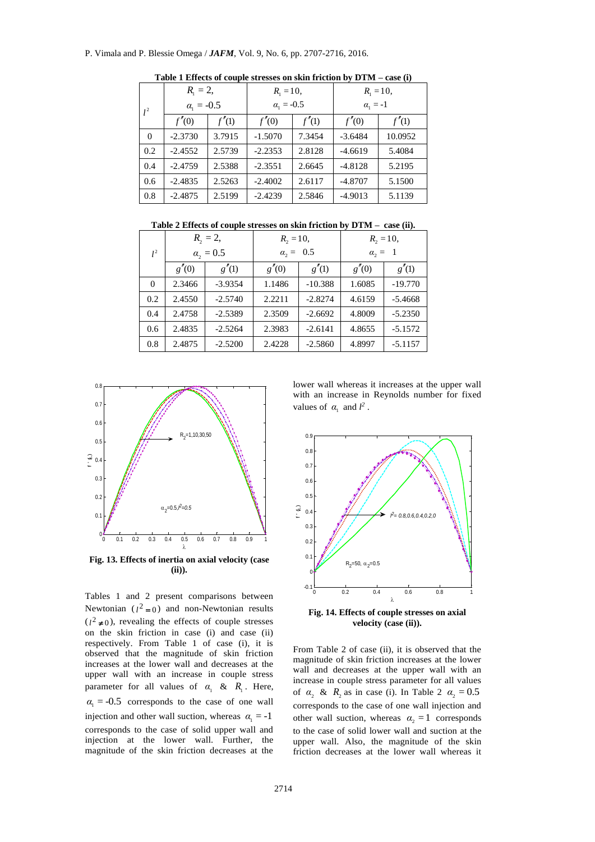## P. Vimala and P. Blessie Omega / *JAFM*, Vol. 9, No. 6, pp. 2707-2716, 2016.

|          | $R_1 = 2$ ,         |        | $R_1 = 10$ ,        |        | $R_1 = 10$ ,    |         |
|----------|---------------------|--------|---------------------|--------|-----------------|---------|
| $l^2$    | $\alpha_{1} = -0.5$ |        | $\alpha_{1} = -0.5$ |        | $\alpha_1 = -1$ |         |
|          | f''(0)              | f''(1) | f''(0)              | f''(1) | f'(0)           | f''(1)  |
| $\Omega$ | $-2.3730$           | 3.7915 | $-1.5070$           | 7.3454 | $-3.6484$       | 10.0952 |
| 0.2      | $-2.4552$           | 2.5739 | $-2.2353$           | 2.8128 | $-4.6619$       | 5.4084  |
| 0.4      | $-2.4759$           | 2.5388 | $-2.3551$           | 2.6645 | $-4.8128$       | 5.2195  |
| 0.6      | $-2.4835$           | 2.5263 | $-2.4002$           | 2.6117 | $-4.8707$       | 5.1500  |
| 0.8      | $-2.4875$           | 2.5199 | $-2.4239$           | 2.5846 | $-4.9013$       | 5.1139  |

**Table 1 Effects of couple stresses on skin friction by DTM – case (i)**

**Table 2 Effects of couple stresses on skin friction by DTM – case (ii).**

|          | $R_{2} = 2$ ,      |           | $R_2 = 10$ ,     |           | $R_2 = 10$ ,     |           |
|----------|--------------------|-----------|------------------|-----------|------------------|-----------|
| $l^2$    | $\alpha_{2} = 0.5$ |           | $\alpha_2 = 0.5$ |           | $\alpha_{2} = 1$ |           |
|          | g''(0)             | g'(1)     | g''(0)           | g''(1)    | g'(0)            | g''(1)    |
| $\Omega$ | 2.3466             | $-3.9354$ | 1.1486           | $-10.388$ | 1.6085           | $-19.770$ |
| 0.2      | 2.4550             | $-2.5740$ | 2.2211           | $-2.8274$ | 4.6159           | $-5.4668$ |
| 0.4      | 2.4758             | $-2.5389$ | 2.3509           | $-2.6692$ | 4.8009           | $-5.2350$ |
| 0.6      | 2.4835             | $-2.5264$ | 2.3983           | $-2.6141$ | 4.8655           | $-5.1572$ |
| 0.8      | 2.4875             | $-2.5200$ | 2.4228           | $-2.5860$ | 4.8997           | $-5.1157$ |



**Fig. 13. Effects of inertia on axial velocity (case (ii)).**

Tables 1 and 2 present comparisons between Newtonian  $(l^2 = 0)$  and non-Newtonian results  $(l^2 \neq 0)$ , revealing the effects of couple stresses on the skin friction in case (i) and case (ii) respectively. From Table 1 of case (i), it is observed that the magnitude of skin friction increases at the lower wall and decreases at the upper wall with an increase in couple stress parameter for all values of  $\alpha_1$  &  $R_1$ . Here,  $\alpha_1 = -0.5$  corresponds to the case of one wall injection and other wall suction, whereas  $\alpha_1 = -1$ corresponds to the case of solid upper wall and injection at the lower wall. Further, the magnitude of the skin friction decreases at the

lower wall whereas it increases at the upper wall with an increase in Reynolds number for fixed values of  $\alpha_1$  and  $l^2$ .



**Fig. 14. Effects of couple stresses on axial velocity (case (ii)).** 

From Table 2 of case (ii), it is observed that the magnitude of skin friction increases at the lower wall and decreases at the upper wall with an increase in couple stress parameter for all values of  $\alpha_2$  &  $R_2$  as in case (i). In Table 2  $\alpha_2 = 0.5$ corresponds to the case of one wall injection and other wall suction, whereas  $\alpha_2 = 1$  corresponds to the case of solid lower wall and suction at the upper wall. Also, the magnitude of the skin friction decreases at the lower wall whereas it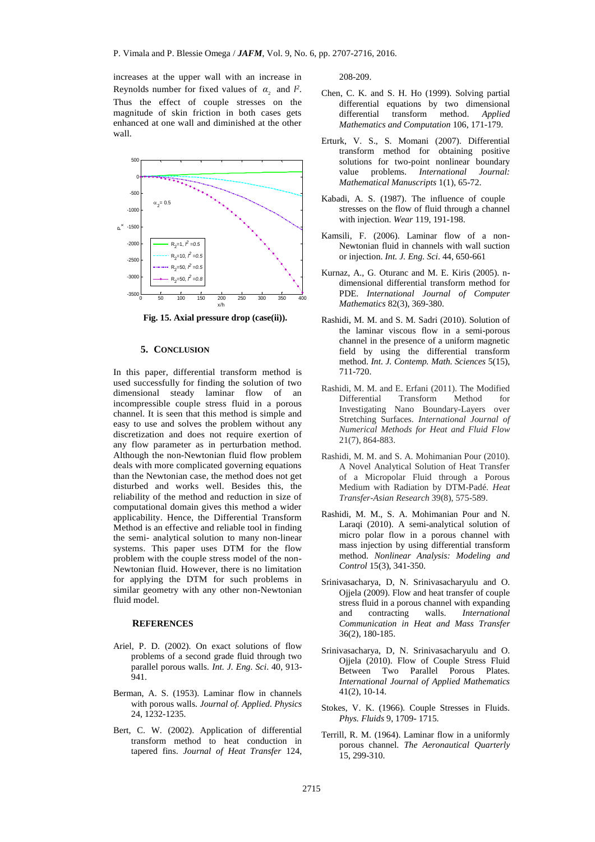increases at the upper wall with an increase in Reynolds number for fixed values of  $\alpha_2$  and  $l^2$ . Thus the effect of couple stresses on the magnitude of skin friction in both cases gets enhanced at one wall and diminished at the other wall.



 **Fig. 15. Axial pressure drop (case(ii)).**

## **5. CONCLUSION**

In this paper, differential transform method is used successfully for finding the solution of two dimensional steady laminar flow of an incompressible couple stress fluid in a porous channel. It is seen that this method is simple and easy to use and solves the problem without any discretization and does not require exertion of any flow parameter as in perturbation method. Although the non-Newtonian fluid flow problem deals with more complicated governing equations than the Newtonian case, the method does not get disturbed and works well. Besides this, the reliability of the method and reduction in size of computational domain gives this method a wider applicability. Hence, the Differential Transform Method is an effective and reliable tool in finding the semi- analytical solution to many non-linear systems. This paper uses DTM for the flow problem with the couple stress model of the non-Newtonian fluid. However, there is no limitation for applying the DTM for such problems in similar geometry with any other non-Newtonian fluid model.

## **REFERENCES**

- Ariel, P. D. (2002). On exact solutions of flow problems of a second grade fluid through two parallel porous walls*. Int. J. Eng. Sci*. 40, 913-  $941.$
- Berman, A. S. (1953). Laminar flow in channels with porous walls. *Journal of. Applied. Physics* 24, 1232-1235.
- Bert, C. W. (2002). Application of differential transform method to heat conduction in tapered fins. *Journal of Heat Transfer* 124,

208-209.

- Chen, C. K. and S. H. Ho (1999). Solving partial differential equations by two dimensional differential transform method. *Applied Mathematics and Computation* 106, 171-179.
- Erturk, V. S., S. Momani (2007). Differential transform method for obtaining positive solutions for two-point nonlinear boundary value problems. *International Journal: Mathematical Manuscripts* 1(1), 65-72.
- Kabadi, A. S. (1987). The influence of couple stresses on the flow of fluid through a channel with injection. *Wear* 119, 191-198.
- Kamsili, F. (2006). Laminar flow of a non-Newtonian fluid in channels with wall suction or injection. *Int. J. Eng. Sci*. 44, 650-661
- Kurnaz, A., G. Oturanc and M. E. Kiris (2005). ndimensional differential transform method for PDE. *International Journal of Computer Mathematics* 82(3), 369-380.
- Rashidi, M. M. and S. M. Sadri (2010). Solution of the laminar viscous flow in a semi-porous channel in the presence of a uniform magnetic field by using the differential transform method. *Int. J. Contemp. Math. Sciences* 5(15), 711-720.
- Rashidi, M. M. and E. Erfani (2011). The Modified Differential Transform Method for Investigating Nano Boundary-Layers over Stretching Surfaces. *International Journal of Numerical Methods for Heat and Fluid Flow* 21(7), 864-883.
- Rashidi, M. M. and S. A. Mohimanian Pour (2010). A Novel Analytical Solution of Heat Transfer of a Micropolar Fluid through a Porous Medium with Radiation by DTM-Padé. *Heat Transfer-Asian Research* 39(8), 575-589.
- Rashidi, M. M., S. A. Mohimanian Pour and N. Laraqi (2010). A semi-analytical solution of micro polar flow in a porous channel with mass injection by using differential transform method. *Nonlinear Analysis: Modeling and Control* 15(3), 341-350.
- Srinivasacharya, D, N. Srinivasacharyulu and O. Ojjela (2009). Flow and heat transfer of couple stress fluid in a porous channel with expanding and contracting walls. *International Communication in Heat and Mass Transfer* 36(2), 180-185.
- Srinivasacharya, D, N. Srinivasacharyulu and O. Ojjela (2010). Flow of Couple Stress Fluid Between Two Parallel Porous Plates. *International Journal of Applied Mathematics* 41(2), 10-14.
- Stokes, V. K. (1966). Couple Stresses in Fluids. *Phys. Fluids* 9, 1709- 1715.
- Terrill, R. M. (1964). Laminar flow in a uniformly porous channel. *The Aeronautical Quarterly* 15, 299-310.